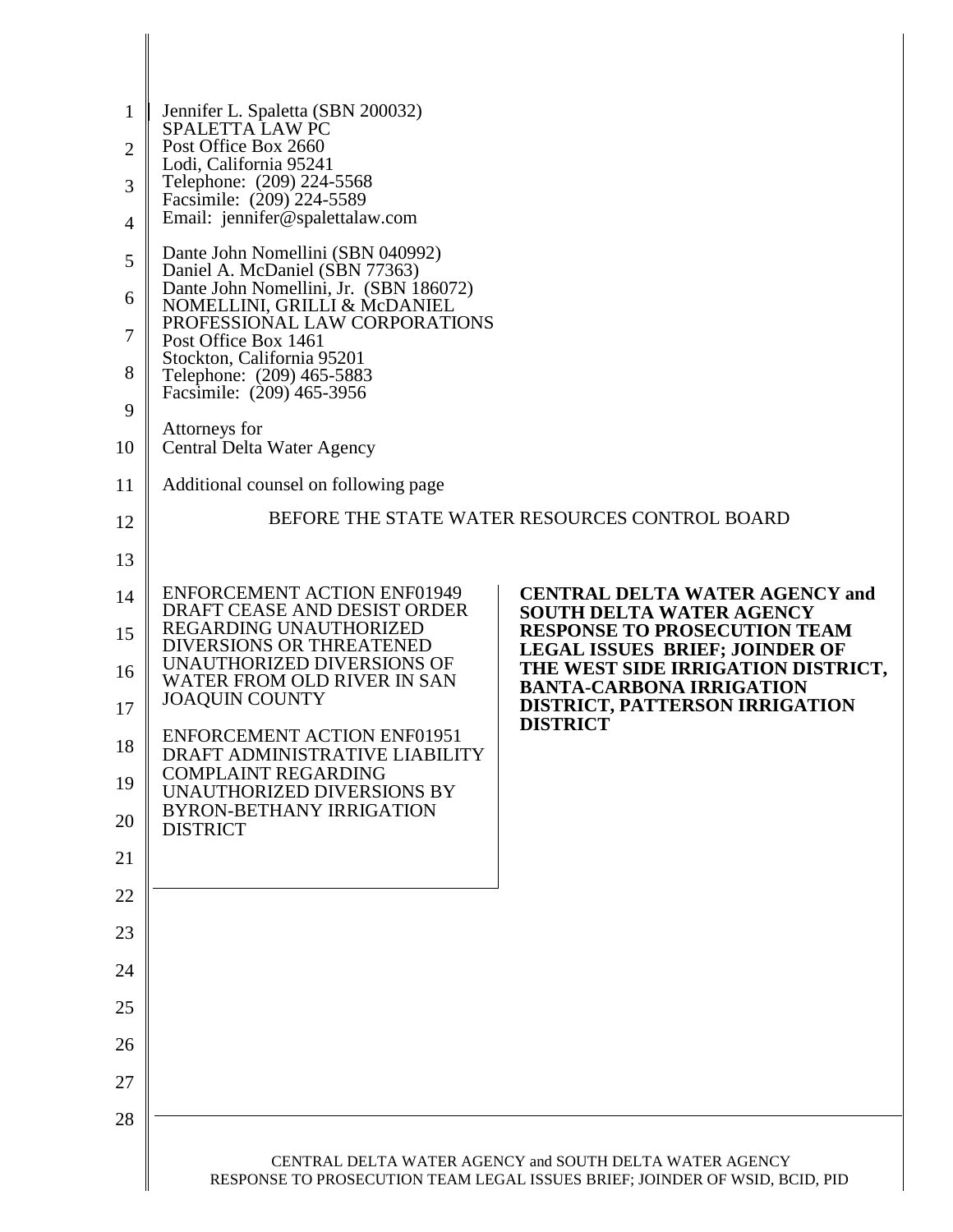| 1  | Jennifer L. Spaletta (SBN 200032)                                                    |                                                                              |  |
|----|--------------------------------------------------------------------------------------|------------------------------------------------------------------------------|--|
| 2  | SPALETTA LAW PC<br>Post Office Box 2660                                              |                                                                              |  |
| 3  | Lodi, California 95241<br>Telephone: (209) 224-5568                                  |                                                                              |  |
| 4  | Facsimile: (209) 224-5589<br>Email: jennifer@spalettalaw.com                         |                                                                              |  |
| 5  | Dante John Nomellini (SBN 040992)<br>Daniel A. McDaniel (SBN 77363)                  |                                                                              |  |
| 6  | Dante John Nomellini, Jr. (SBN 186072)<br>NOMELLINI, GRILLI & McDANIEL               |                                                                              |  |
| 7  | PROFESSIONAL LAW CORPORATIONS<br>Post Office Box 1461                                |                                                                              |  |
| 8  | Stockton, California 95201<br>Telephone: (209) 465-5883<br>Facsimile: (209) 465-3956 |                                                                              |  |
| 9  | Attorneys for                                                                        |                                                                              |  |
| 10 | Central Delta Water Agency                                                           |                                                                              |  |
| 11 | Additional counsel on following page                                                 |                                                                              |  |
| 12 |                                                                                      | BEFORE THE STATE WATER RESOURCES CONTROL BOARD                               |  |
| 13 |                                                                                      |                                                                              |  |
| 14 | <b>ENFORCEMENT ACTION ENF01949</b><br>DRAFT CEASE AND DESIST ORDER                   | <b>CENTRAL DELTA WATER AGENCY and</b><br><b>SOUTH DELTA WATER AGENCY</b>     |  |
| 15 | REGARDING UNAUTHORIZED<br><b>DIVERSIONS OR THREATENED</b>                            | <b>RESPONSE TO PROSECUTION TEAM</b><br><b>LEGAL ISSUES BRIEF; JOINDER OF</b> |  |
| 16 | UNAUTHORIZED DIVERSIONS OF<br>WATER FROM OLD RIVER IN SAN                            | THE WEST SIDE IRRIGATION DISTRICT,<br><b>BANTA-CARBONA IRRIGATION</b>        |  |
| 17 | <b>JOAQUIN COUNTY</b>                                                                | <b>DISTRICT, PATTERSON IRRIGATION</b>                                        |  |
| 18 | <b>ENFORCEMENT ACTION ENF01951</b><br>DRAFT ADMINISTRATIVE LIABILITY                 | <b>DISTRICT</b>                                                              |  |
| 19 | <b>COMPLAINT REGARDING</b><br>UNAUTHORIZED DIVERSIONS BY                             |                                                                              |  |
| 20 | <b>BYRON-BETHANY IRRIGATION</b><br><b>DISTRICT</b>                                   |                                                                              |  |
| 21 |                                                                                      |                                                                              |  |
| 22 |                                                                                      |                                                                              |  |
| 23 |                                                                                      |                                                                              |  |
| 24 |                                                                                      |                                                                              |  |
| 25 |                                                                                      |                                                                              |  |
| 26 |                                                                                      |                                                                              |  |
| 27 |                                                                                      |                                                                              |  |
| 28 |                                                                                      |                                                                              |  |
|    | CENTRAL DELTA WATER AGENCY and SOUTH DELTA WATER AGENCY                              |                                                                              |  |
|    |                                                                                      | RESPONSE TO PROSECUTION TEAM LEGAL ISSUES BRIEF; JOINDER OF WSID, BCID, PID  |  |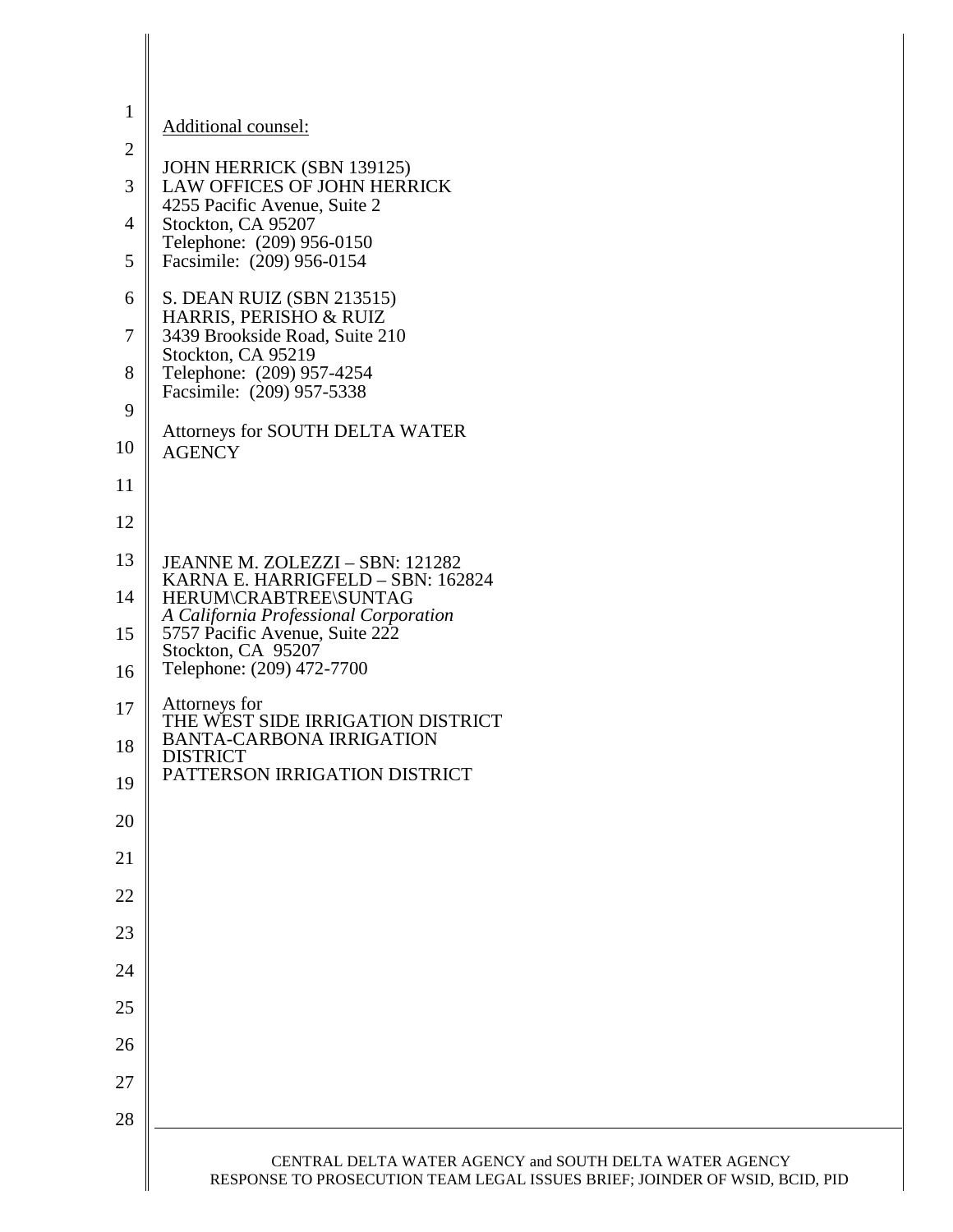| $\mathbf{1}$   | Additional counsel:                                                                                                                    |
|----------------|----------------------------------------------------------------------------------------------------------------------------------------|
| $\mathbf{2}$   |                                                                                                                                        |
| 3              | JOHN HERRICK (SBN 139125)<br>LAW OFFICES OF JOHN HERRICK                                                                               |
| $\overline{4}$ | 4255 Pacific Avenue, Suite 2<br>Stockton, CA 95207                                                                                     |
| 5              | Telephone: (209) 956-0150<br>Facsimile: (209) 956-0154                                                                                 |
| 6              | S. DEAN RUIZ (SBN 213515)                                                                                                              |
| $\tau$         | HARRIS, PERISHO & RUIZ<br>3439 Brookside Road, Suite 210<br>Stockton, CA 95219                                                         |
| 8              | Telephone: (209) 957-4254<br>Facsimile: (209) 957-5338                                                                                 |
| 9              |                                                                                                                                        |
| 10             | Attorneys for SOUTH DELTA WATER<br><b>AGENCY</b>                                                                                       |
| 11             |                                                                                                                                        |
| 12             |                                                                                                                                        |
| 13             | JEANNE M. ZOLEZZI - SBN: 121282<br>KARNA E. HARRIGFELD - SBN: 162824                                                                   |
| 14             | HERUM\CRABTREE\SUNTAG<br>A California Professional Corporation                                                                         |
| 15             | 5757 Pacific Avenue, Suite 222<br>Stockton, CA 95207                                                                                   |
| 16             | Telephone: (209) 472-7700                                                                                                              |
| 17             | Attorneys for<br>THE WEST SIDE IRRIGATION DISTRICT                                                                                     |
| 18             | <b>BANTA-CARBONA IRRIGATION</b><br><b>DISTRICT</b><br>PATTERSON IRRIGATION DISTRICT                                                    |
| 19             |                                                                                                                                        |
| 20             |                                                                                                                                        |
| 21             |                                                                                                                                        |
| 22             |                                                                                                                                        |
| 23             |                                                                                                                                        |
| 24             |                                                                                                                                        |
| 25             |                                                                                                                                        |
| 26             |                                                                                                                                        |
| 27             |                                                                                                                                        |
| 28             |                                                                                                                                        |
|                | CENTRAL DELTA WATER AGENCY and SOUTH DELTA WATER AGENCY<br>RESPONSE TO PROSECUTION TEAM LEGAL ISSUES BRIEF; JOINDER OF WSID, BCID, PID |

 $\parallel$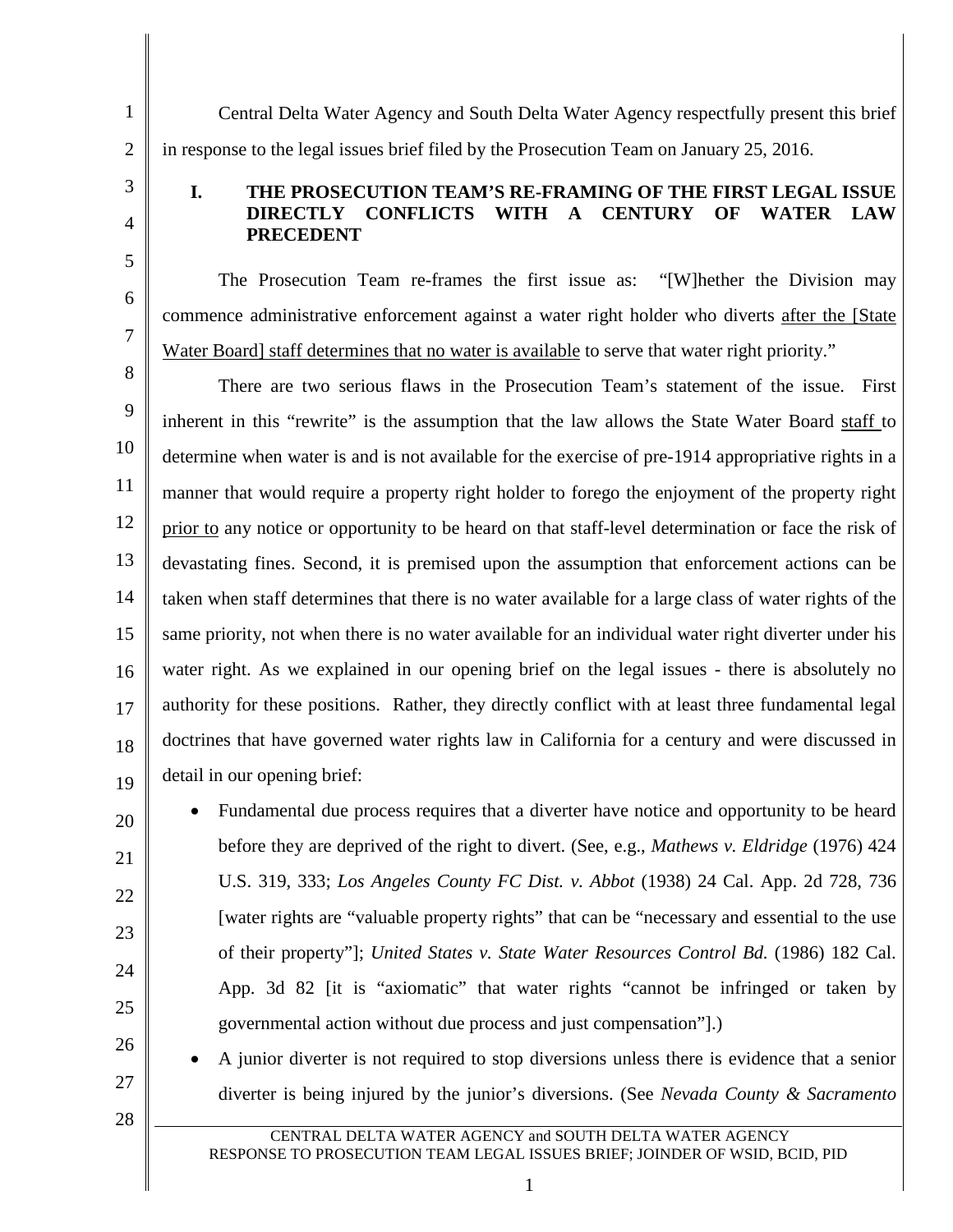1 2

3 4

5

6

7

## **I. THE PROSECUTION TEAM'S RE-FRAMING OF THE FIRST LEGAL ISSUE DIRECTLY CONFLICTS WITH A CENTURY OF WATER LAW PRECEDENT**

Central Delta Water Agency and South Delta Water Agency respectfully present this brief

The Prosecution Team re-frames the first issue as: "[W]hether the Division may commence administrative enforcement against a water right holder who diverts after the [State Water Board] staff determines that no water is available to serve that water right priority."

in response to the legal issues brief filed by the Prosecution Team on January 25, 2016.

8 9 10 11 12 13 14 15 16 17 18 19 There are two serious flaws in the Prosecution Team's statement of the issue. First inherent in this "rewrite" is the assumption that the law allows the State Water Board staff to determine when water is and is not available for the exercise of pre-1914 appropriative rights in a manner that would require a property right holder to forego the enjoyment of the property right prior to any notice or opportunity to be heard on that staff-level determination or face the risk of devastating fines. Second, it is premised upon the assumption that enforcement actions can be taken when staff determines that there is no water available for a large class of water rights of the same priority, not when there is no water available for an individual water right diverter under his water right. As we explained in our opening brief on the legal issues - there is absolutely no authority for these positions. Rather, they directly conflict with at least three fundamental legal doctrines that have governed water rights law in California for a century and were discussed in detail in our opening brief:

• Fundamental due process requires that a diverter have notice and opportunity to be heard before they are deprived of the right to divert. (See, e.g., *Mathews v. Eldridge* (1976) 424 U.S. 319, 333; *Los Angeles County FC Dist. v. Abbot* (1938) 24 Cal. App. 2d 728, 736 [water rights are "valuable property rights" that can be "necessary and essential to the use of their property"]; *United States v. State Water Resources Control Bd.* (1986) 182 Cal. App. 3d 82 [it is "axiomatic" that water rights "cannot be infringed or taken by governmental action without due process and just compensation"].)

• A junior diverter is not required to stop diversions unless there is evidence that a senior diverter is being injured by the junior's diversions. (See *Nevada County & Sacramento* 

28

27

20

21

22

23

24

25

26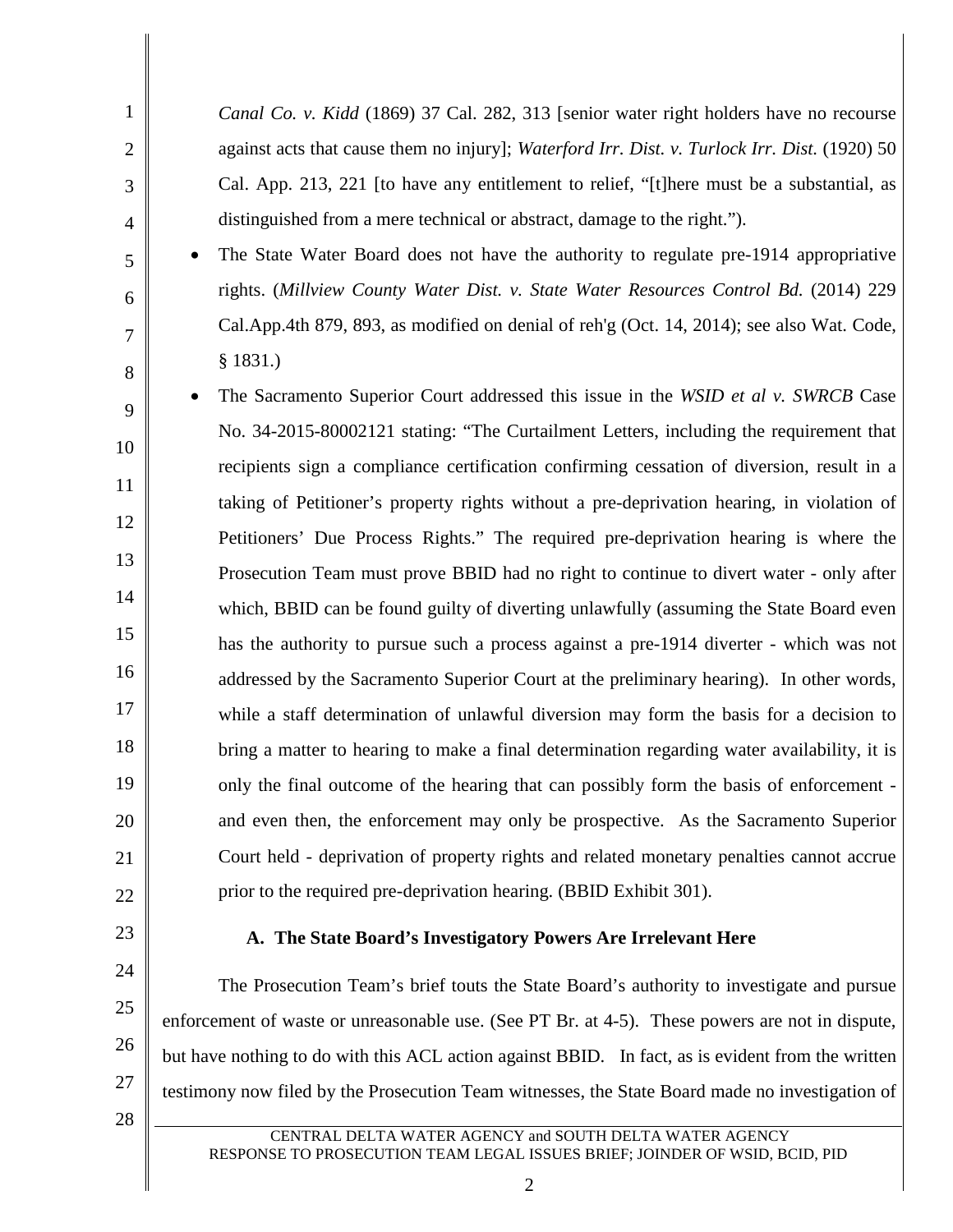| $\mathbf{1}$   | Canal Co. v. Kidd (1869) 37 Cal. 282, 313 [senior water right holders have no recourse        |
|----------------|-----------------------------------------------------------------------------------------------|
| $\overline{2}$ | against acts that cause them no injury]; Waterford Irr. Dist. v. Turlock Irr. Dist. (1920) 50 |
| 3              | Cal. App. 213, 221 [to have any entitlement to relief, "[t]here must be a substantial, as     |
| $\overline{4}$ | distinguished from a mere technical or abstract, damage to the right.").                      |
| 5              | The State Water Board does not have the authority to regulate pre-1914 appropriative          |
| 6              | rights. (Millview County Water Dist. v. State Water Resources Control Bd. (2014) 229          |
| 7              | Cal.App.4th 879, 893, as modified on denial of reh'g (Oct. 14, 2014); see also Wat. Code,     |
| 8              | § 1831.)                                                                                      |
| 9              | The Sacramento Superior Court addressed this issue in the WSID et al v. SWRCB Case            |
| 10             | No. 34-2015-80002121 stating: "The Curtailment Letters, including the requirement that        |
| 11             | recipients sign a compliance certification confirming cessation of diversion, result in a     |
|                | taking of Petitioner's property rights without a pre-deprivation hearing, in violation of     |
| 12             | Petitioners' Due Process Rights." The required pre-deprivation hearing is where the           |
| 13             | Prosecution Team must prove BBID had no right to continue to divert water - only after        |
| 14             | which, BBID can be found guilty of diverting unlawfully (assuming the State Board even        |
| 15             | has the authority to pursue such a process against a pre-1914 diverter - which was not        |
| 16             | addressed by the Sacramento Superior Court at the preliminary hearing). In other words,       |
| 17             | while a staff determination of unlawful diversion may form the basis for a decision to        |
| 18             | bring a matter to hearing to make a final determination regarding water availability, it is   |
| 19             | only the final outcome of the hearing that can possibly form the basis of enforcement -       |
| 20             | and even then, the enforcement may only be prospective. As the Sacramento Superior            |
| 21             | Court held - deprivation of property rights and related monetary penalties cannot accrue      |
| 22             | prior to the required pre-deprivation hearing. (BBID Exhibit 301).                            |
|                |                                                                                               |

23

24

25

26

## **A. The State Board's Investigatory Powers Are Irrelevant Here**

The Prosecution Team's brief touts the State Board's authority to investigate and pursue enforcement of waste or unreasonable use. (See PT Br. at 4-5). These powers are not in dispute, but have nothing to do with this ACL action against BBID. In fact, as is evident from the written testimony now filed by the Prosecution Team witnesses, the State Board made no investigation of

28

27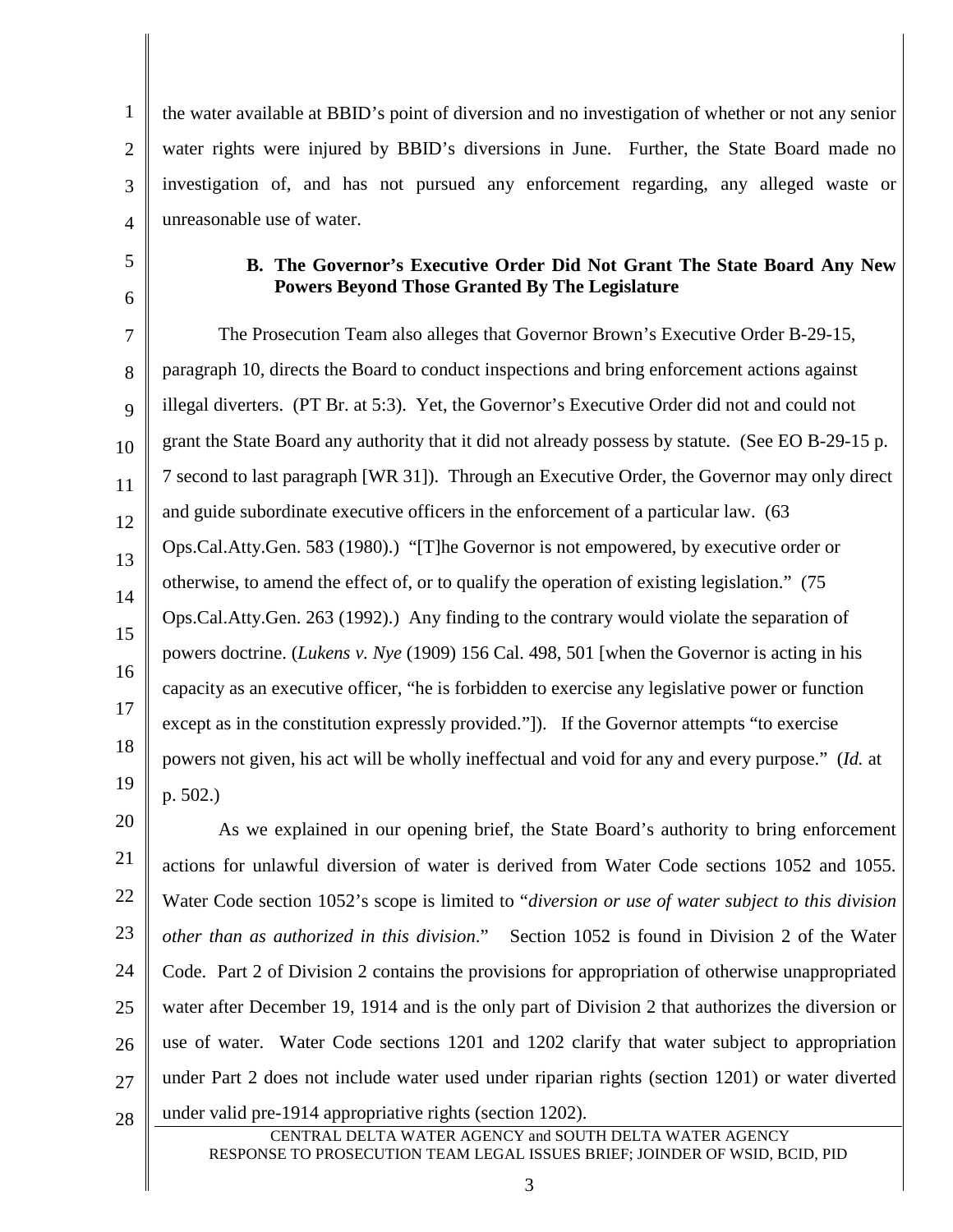1 2 3 4 the water available at BBID's point of diversion and no investigation of whether or not any senior water rights were injured by BBID's diversions in June. Further, the State Board made no investigation of, and has not pursued any enforcement regarding, any alleged waste or unreasonable use of water.

5

6

### **B. The Governor's Executive Order Did Not Grant The State Board Any New Powers Beyond Those Granted By The Legislature**

7 8 9 10 11 12 13 14 15 16 17 18 19 The Prosecution Team also alleges that Governor Brown's Executive Order B-29-15, paragraph 10, directs the Board to conduct inspections and bring enforcement actions against illegal diverters. (PT Br. at 5:3). Yet, the Governor's Executive Order did not and could not grant the State Board any authority that it did not already possess by statute. (See EO B-29-15 p. 7 second to last paragraph [WR 31]). Through an Executive Order, the Governor may only direct and guide subordinate executive officers in the enforcement of a particular law. (63 Ops.Cal.Atty.Gen. 583 (1980).) "[T]he Governor is not empowered, by executive order or otherwise, to amend the effect of, or to qualify the operation of existing legislation." (75 Ops.Cal.Atty.Gen. 263 (1992).) Any finding to the contrary would violate the separation of powers doctrine. (*Lukens v. Nye* (1909) 156 Cal. 498, 501 [when the Governor is acting in his capacity as an executive officer, "he is forbidden to exercise any legislative power or function except as in the constitution expressly provided."]). If the Governor attempts "to exercise powers not given, his act will be wholly ineffectual and void for any and every purpose." (*Id.* at p. 502.)

20 21 22 23 24 25 26 27 28 As we explained in our opening brief, the State Board's authority to bring enforcement actions for unlawful diversion of water is derived from Water Code sections 1052 and 1055. Water Code section 1052's scope is limited to "*diversion or use of water subject to this division other than as authorized in this division*." Section 1052 is found in Division 2 of the Water Code. Part 2 of Division 2 contains the provisions for appropriation of otherwise unappropriated water after December 19, 1914 and is the only part of Division 2 that authorizes the diversion or use of water. Water Code sections 1201 and 1202 clarify that water subject to appropriation under Part 2 does not include water used under riparian rights (section 1201) or water diverted under valid pre-1914 appropriative rights (section 1202).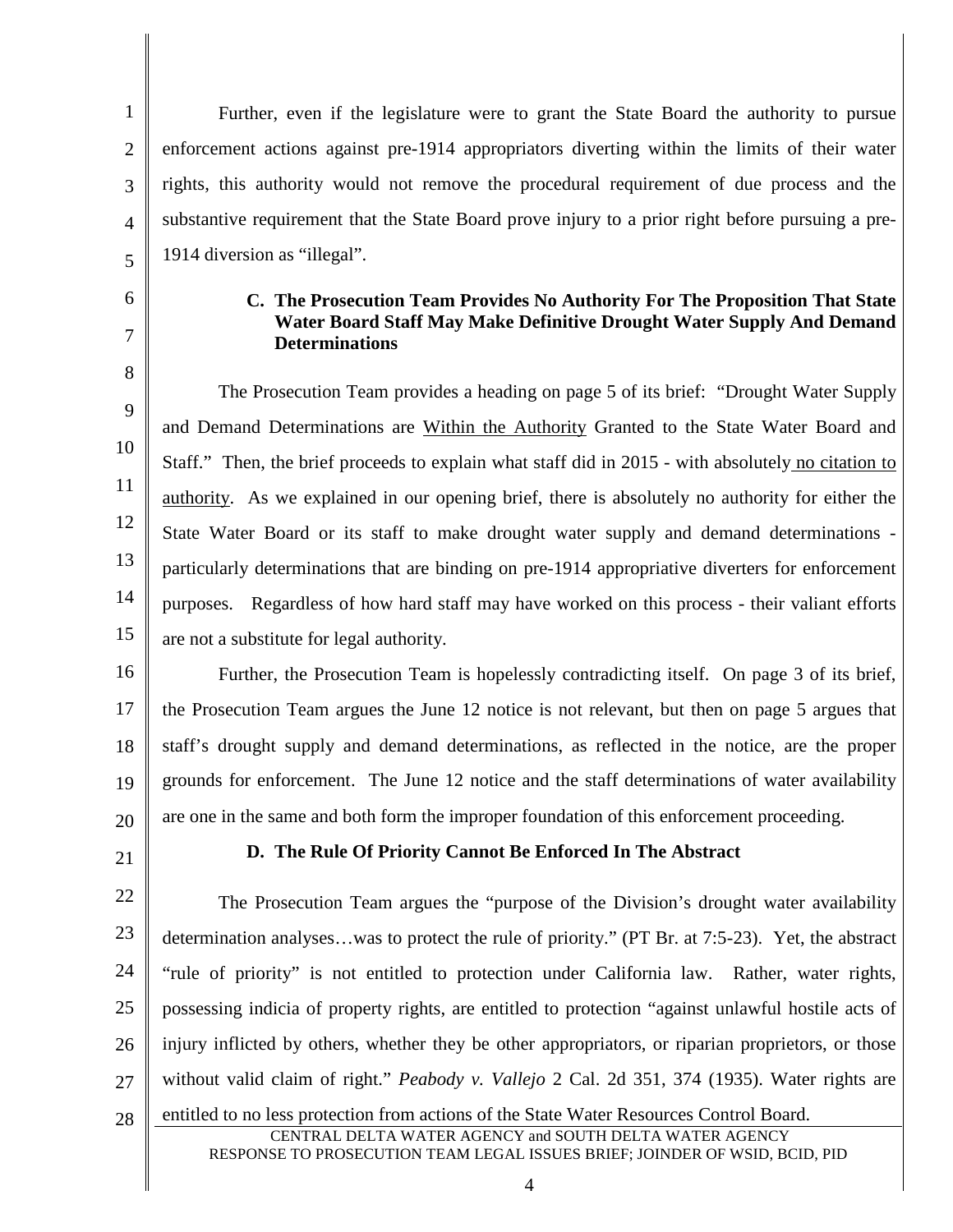1 2 3 4 Further, even if the legislature were to grant the State Board the authority to pursue enforcement actions against pre-1914 appropriators diverting within the limits of their water rights, this authority would not remove the procedural requirement of due process and the substantive requirement that the State Board prove injury to a prior right before pursuing a pre-1914 diversion as "illegal".

#### **C. The Prosecution Team Provides No Authority For The Proposition That State Water Board Staff May Make Definitive Drought Water Supply And Demand Determinations**

9 10 11 12 13 14 15 The Prosecution Team provides a heading on page 5 of its brief: "Drought Water Supply and Demand Determinations are Within the Authority Granted to the State Water Board and Staff." Then, the brief proceeds to explain what staff did in 2015 - with absolutely no citation to authority. As we explained in our opening brief, there is absolutely no authority for either the State Water Board or its staff to make drought water supply and demand determinations particularly determinations that are binding on pre-1914 appropriative diverters for enforcement purposes. Regardless of how hard staff may have worked on this process - their valiant efforts are not a substitute for legal authority.

16 17 18 19 20 Further, the Prosecution Team is hopelessly contradicting itself. On page 3 of its brief, the Prosecution Team argues the June 12 notice is not relevant, but then on page 5 argues that staff's drought supply and demand determinations, as reflected in the notice, are the proper grounds for enforcement. The June 12 notice and the staff determinations of water availability are one in the same and both form the improper foundation of this enforcement proceeding.

21

5

6

7

8

#### **D. The Rule Of Priority Cannot Be Enforced In The Abstract**

22 23 24 25 26 27 The Prosecution Team argues the "purpose of the Division's drought water availability determination analyses…was to protect the rule of priority." (PT Br. at 7:5-23). Yet, the abstract "rule of priority" is not entitled to protection under California law. Rather, water rights, possessing indicia of property rights, are entitled to protection "against unlawful hostile acts of injury inflicted by others, whether they be other appropriators, or riparian proprietors, or those without valid claim of right." *Peabody v. Vallejo* 2 Cal. 2d 351, 374 (1935). Water rights are

28 CENTRAL DELTA WATER AGENCY and SOUTH DELTA WATER AGENCY RESPONSE TO PROSECUTION TEAM LEGAL ISSUES BRIEF; JOINDER OF WSID, BCID, PID entitled to no less protection from actions of the State Water Resources Control Board.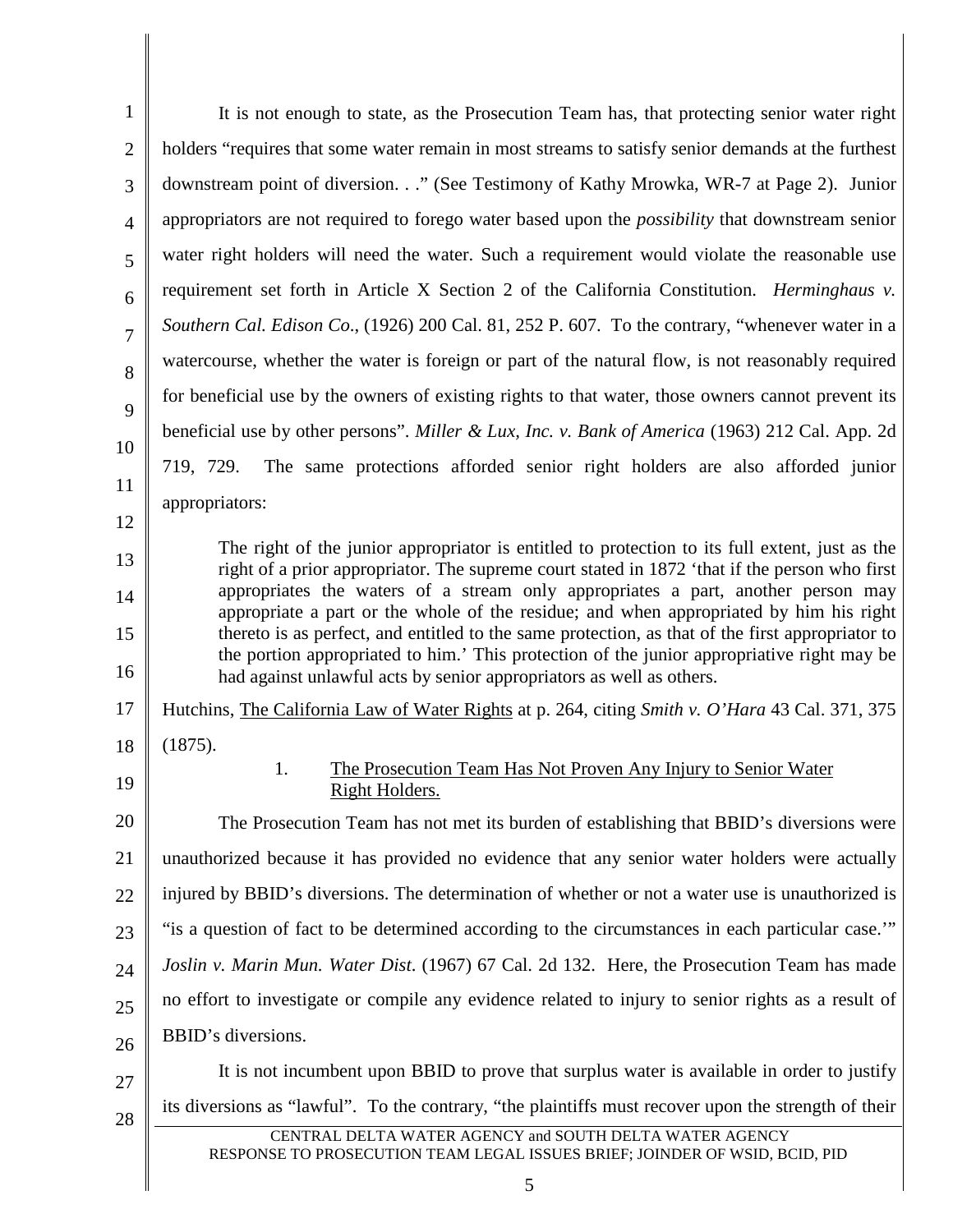| $\mathbf{1}$   | It is not enough to state, as the Prosecution Team has, that protecting senior water right                                                                                                                                                                             |
|----------------|------------------------------------------------------------------------------------------------------------------------------------------------------------------------------------------------------------------------------------------------------------------------|
| $\overline{2}$ | holders "requires that some water remain in most streams to satisfy senior demands at the furthest                                                                                                                                                                     |
| 3              | downstream point of diversion." (See Testimony of Kathy Mrowka, WR-7 at Page 2). Junior                                                                                                                                                                                |
| $\overline{4}$ | appropriators are not required to forego water based upon the <i>possibility</i> that downstream senior                                                                                                                                                                |
| 5              | water right holders will need the water. Such a requirement would violate the reasonable use                                                                                                                                                                           |
| 6              | requirement set forth in Article X Section 2 of the California Constitution. <i>Herminghaus v.</i>                                                                                                                                                                     |
| $\overline{7}$ | Southern Cal. Edison Co., (1926) 200 Cal. 81, 252 P. 607. To the contrary, "whenever water in a                                                                                                                                                                        |
| 8              | watercourse, whether the water is foreign or part of the natural flow, is not reasonably required                                                                                                                                                                      |
| 9              | for beneficial use by the owners of existing rights to that water, those owners cannot prevent its                                                                                                                                                                     |
| 10             | beneficial use by other persons". Miller & Lux, Inc. v. Bank of America (1963) 212 Cal. App. 2d                                                                                                                                                                        |
| 11             | 719, 729. The same protections afforded senior right holders are also afforded junior                                                                                                                                                                                  |
| 12             | appropriators:                                                                                                                                                                                                                                                         |
| 13             | The right of the junior appropriator is entitled to protection to its full extent, just as the                                                                                                                                                                         |
|                | right of a prior appropriator. The supreme court stated in 1872 'that if the person who first<br>appropriates the waters of a stream only appropriates a part, another person may                                                                                      |
| 14             | appropriate a part or the whole of the residue; and when appropriated by him his right                                                                                                                                                                                 |
| 15<br>16       | thereto is as perfect, and entitled to the same protection, as that of the first appropriator to<br>the portion appropriated to him.' This protection of the junior appropriative right may be<br>had against unlawful acts by senior appropriators as well as others. |
| 17             | Hutchins, The California Law of Water Rights at p. 264, citing Smith v. O'Hara 43 Cal. 371, 375                                                                                                                                                                        |
| 18             | (1875).                                                                                                                                                                                                                                                                |
| 19             | 1.<br>The Prosecution Team Has Not Proven Any Injury to Senior Water<br><b>Right Holders</b>                                                                                                                                                                           |
| 20             | The Prosecution Team has not met its burden of establishing that BBID's diversions were                                                                                                                                                                                |
| 21             | unauthorized because it has provided no evidence that any senior water holders were actually                                                                                                                                                                           |
| 22             | injured by BBID's diversions. The determination of whether or not a water use is unauthorized is                                                                                                                                                                       |
| 23             | "is a question of fact to be determined according to the circumstances in each particular case.""                                                                                                                                                                      |
| 24             | Joslin v. Marin Mun. Water Dist. (1967) 67 Cal. 2d 132. Here, the Prosecution Team has made                                                                                                                                                                            |
| 25             | no effort to investigate or compile any evidence related to injury to senior rights as a result of                                                                                                                                                                     |
| 26             | BBID's diversions.                                                                                                                                                                                                                                                     |
| 27             | It is not incumbent upon BBID to prove that surplus water is available in order to justify                                                                                                                                                                             |
| 28             | its diversions as "lawful". To the contrary, "the plaintiffs must recover upon the strength of their                                                                                                                                                                   |
|                | CENTRAL DELTA WATER AGENCY and SOUTH DELTA WATER AGENCY<br>RESPONSE TO PROSECUTION TEAM LEGAL ISSUES BRIEF; JOINDER OF WSID, BCID, PID                                                                                                                                 |
|                | 5                                                                                                                                                                                                                                                                      |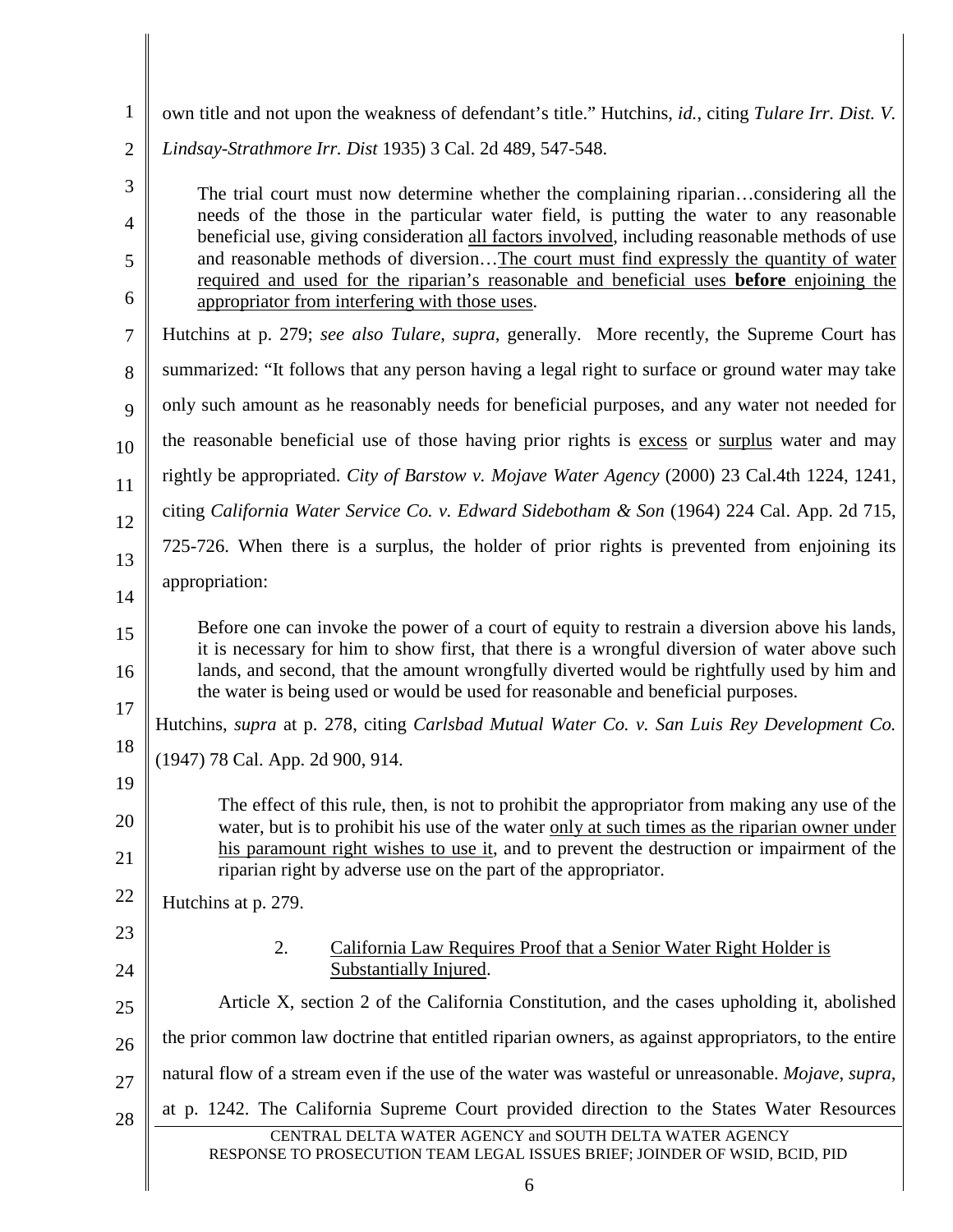1 own title and not upon the weakness of defendant's title." Hutchins, *id.*, citing *Tulare Irr. Dist. V.* 

2 *Lindsay-Strathmore Irr. Dist* 1935) 3 Cal. 2d 489, 547-548.

The trial court must now determine whether the complaining riparian…considering all the needs of the those in the particular water field, is putting the water to any reasonable beneficial use, giving consideration all factors involved, including reasonable methods of use and reasonable methods of diversion…The court must find expressly the quantity of water required and used for the riparian's reasonable and beneficial uses **before** enjoining the appropriator from interfering with those uses.

- 7 Hutchins at p. 279; *see also Tulare*, *supra*, generally. More recently, the Supreme Court has
- 8 summarized: "It follows that any person having a legal right to surface or ground water may take
- 9 only such amount as he reasonably needs for beneficial purposes, and any water not needed for
- 10 the reasonable beneficial use of those having prior rights is excess or surplus water and may
- 11 rightly be appropriated. *City of Barstow v. Mojave Water Agency* (2000) 23 Cal.4th 1224, 1241,
- 12 citing *California Water Service Co. v. Edward Sidebotham & Son* (1964) 224 Cal. App. 2d 715,
- 13 14 725-726. When there is a surplus, the holder of prior rights is prevented from enjoining its appropriation:
- 15 16 Before one can invoke the power of a court of equity to restrain a diversion above his lands, it is necessary for him to show first, that there is a wrongful diversion of water above such lands, and second, that the amount wrongfully diverted would be rightfully used by him and the water is being used or would be used for reasonable and beneficial purposes.
- 17 18 Hutchins, *supra* at p. 278, citing *Carlsbad Mutual Water Co. v. San Luis Rey Development Co.*
- 19 (1947) 78 Cal. App. 2d 900, 914.
- 20 21 The effect of this rule, then, is not to prohibit the appropriator from making any use of the water, but is to prohibit his use of the water only at such times as the riparian owner under his paramount right wishes to use it, and to prevent the destruction or impairment of the riparian right by adverse use on the part of the appropriator.
- 22 Hutchins at p. 279.
- 23

24

3

4

5

6

## 2. California Law Requires Proof that a Senior Water Right Holder is Substantially Injured.

- 25 26 27 28 Article X, section 2 of the California Constitution, and the cases upholding it, abolished the prior common law doctrine that entitled riparian owners, as against appropriators, to the entire natural flow of a stream even if the use of the water was wasteful or unreasonable. *Mojave*, *supra,* at p. 1242. The California Supreme Court provided direction to the States Water Resources
	- CENTRAL DELTA WATER AGENCY and SOUTH DELTA WATER AGENCY RESPONSE TO PROSECUTION TEAM LEGAL ISSUES BRIEF; JOINDER OF WSID, BCID, PID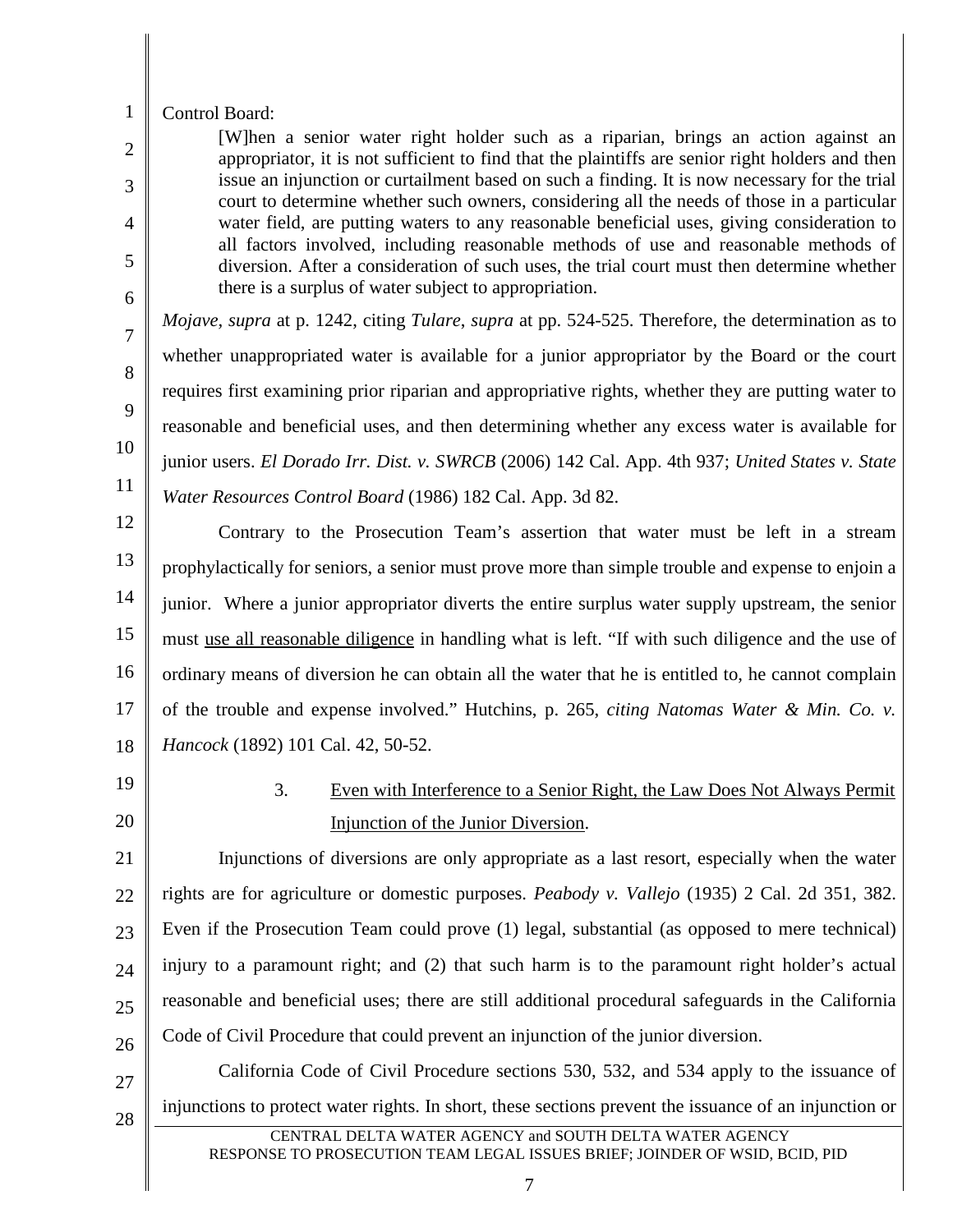#### 1 Control Board:

2

3

4

5

6

7

8

9

10

11

[W]hen a senior water right holder such as a riparian, brings an action against an appropriator, it is not sufficient to find that the plaintiffs are senior right holders and then issue an injunction or curtailment based on such a finding. It is now necessary for the trial court to determine whether such owners, considering all the needs of those in a particular water field, are putting waters to any reasonable beneficial uses, giving consideration to all factors involved, including reasonable methods of use and reasonable methods of diversion. After a consideration of such uses, the trial court must then determine whether there is a surplus of water subject to appropriation.

*Mojave, supra* at p. 1242, citing *Tulare*, *supra* at pp. 524-525. Therefore, the determination as to whether unappropriated water is available for a junior appropriator by the Board or the court requires first examining prior riparian and appropriative rights, whether they are putting water to reasonable and beneficial uses, and then determining whether any excess water is available for junior users. *El Dorado Irr. Dist. v. SWRCB* (2006) 142 Cal. App. 4th 937; *United States v. State Water Resources Control Board* (1986) 182 Cal. App. 3d 82.

12 13 14 15 16 17 18 Contrary to the Prosecution Team's assertion that water must be left in a stream prophylactically for seniors, a senior must prove more than simple trouble and expense to enjoin a junior. Where a junior appropriator diverts the entire surplus water supply upstream, the senior must use all reasonable diligence in handling what is left. "If with such diligence and the use of ordinary means of diversion he can obtain all the water that he is entitled to, he cannot complain of the trouble and expense involved." Hutchins, p. 265, *citing Natomas Water & Min. Co. v. Hancock* (1892) 101 Cal. 42, 50-52.

19

20

# 3. Even with Interference to a Senior Right, the Law Does Not Always Permit Injunction of the Junior Diversion.

21 22 23 24 25 26 Injunctions of diversions are only appropriate as a last resort, especially when the water rights are for agriculture or domestic purposes. *Peabody v. Vallejo* (1935) 2 Cal. 2d 351, 382. Even if the Prosecution Team could prove (1) legal, substantial (as opposed to mere technical) injury to a paramount right; and (2) that such harm is to the paramount right holder's actual reasonable and beneficial uses; there are still additional procedural safeguards in the California Code of Civil Procedure that could prevent an injunction of the junior diversion.

- 27
- 28

CENTRAL DELTA WATER AGENCY and SOUTH DELTA WATER AGENCY RESPONSE TO PROSECUTION TEAM LEGAL ISSUES BRIEF; JOINDER OF WSID, BCID, PID

injunctions to protect water rights. In short, these sections prevent the issuance of an injunction or

California Code of Civil Procedure sections 530, 532, and 534 apply to the issuance of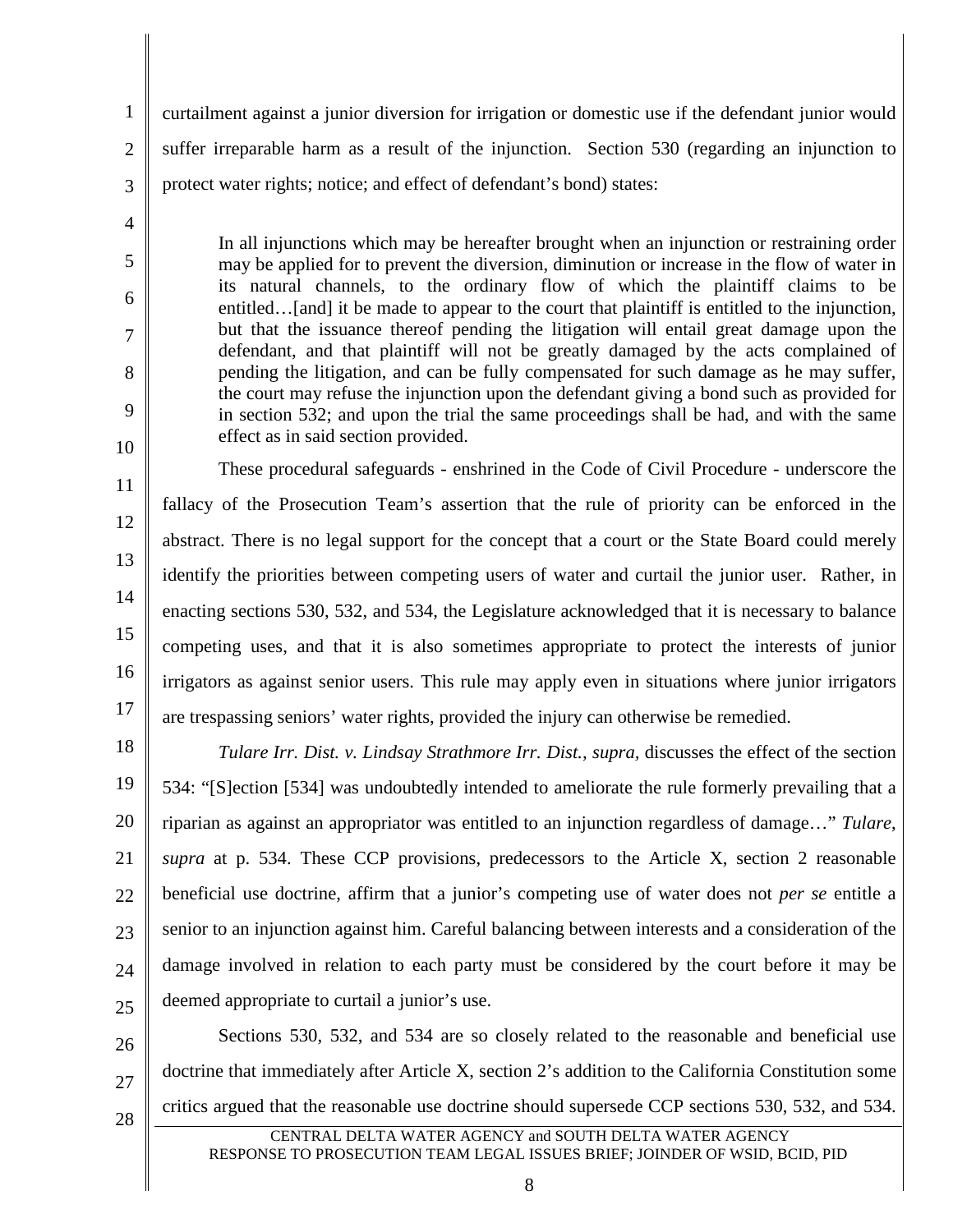1 2 3 curtailment against a junior diversion for irrigation or domestic use if the defendant junior would suffer irreparable harm as a result of the injunction. Section 530 (regarding an injunction to protect water rights; notice; and effect of defendant's bond) states:

4

5

6

7

8

9

10

In all injunctions which may be hereafter brought when an injunction or restraining order may be applied for to prevent the diversion, diminution or increase in the flow of water in its natural channels, to the ordinary flow of which the plaintiff claims to be entitled...[and] it be made to appear to the court that plaintiff is entitled to the injunction, but that the issuance thereof pending the litigation will entail great damage upon the defendant, and that plaintiff will not be greatly damaged by the acts complained of pending the litigation, and can be fully compensated for such damage as he may suffer, the court may refuse the injunction upon the defendant giving a bond such as provided for in section 532; and upon the trial the same proceedings shall be had, and with the same effect as in said section provided.

11 12 13 14 15 16 17 These procedural safeguards - enshrined in the Code of Civil Procedure - underscore the fallacy of the Prosecution Team's assertion that the rule of priority can be enforced in the abstract. There is no legal support for the concept that a court or the State Board could merely identify the priorities between competing users of water and curtail the junior user. Rather, in enacting sections 530, 532, and 534, the Legislature acknowledged that it is necessary to balance competing uses, and that it is also sometimes appropriate to protect the interests of junior irrigators as against senior users. This rule may apply even in situations where junior irrigators are trespassing seniors' water rights, provided the injury can otherwise be remedied.

18 19 20 21 22 23 24 25 *Tulare Irr. Dist. v. Lindsay Strathmore Irr. Dist., supra,* discusses the effect of the section 534: "[S]ection [534] was undoubtedly intended to ameliorate the rule formerly prevailing that a riparian as against an appropriator was entitled to an injunction regardless of damage…" *Tulare*, *supra* at p. 534. These CCP provisions, predecessors to the Article X, section 2 reasonable beneficial use doctrine, affirm that a junior's competing use of water does not *per se* entitle a senior to an injunction against him. Careful balancing between interests and a consideration of the damage involved in relation to each party must be considered by the court before it may be deemed appropriate to curtail a junior's use.

26 27 28 Sections 530, 532, and 534 are so closely related to the reasonable and beneficial use doctrine that immediately after Article X, section 2's addition to the California Constitution some critics argued that the reasonable use doctrine should supersede CCP sections 530, 532, and 534.

CENTRAL DELTA WATER AGENCY and SOUTH DELTA WATER AGENCY RESPONSE TO PROSECUTION TEAM LEGAL ISSUES BRIEF; JOINDER OF WSID, BCID, PID

8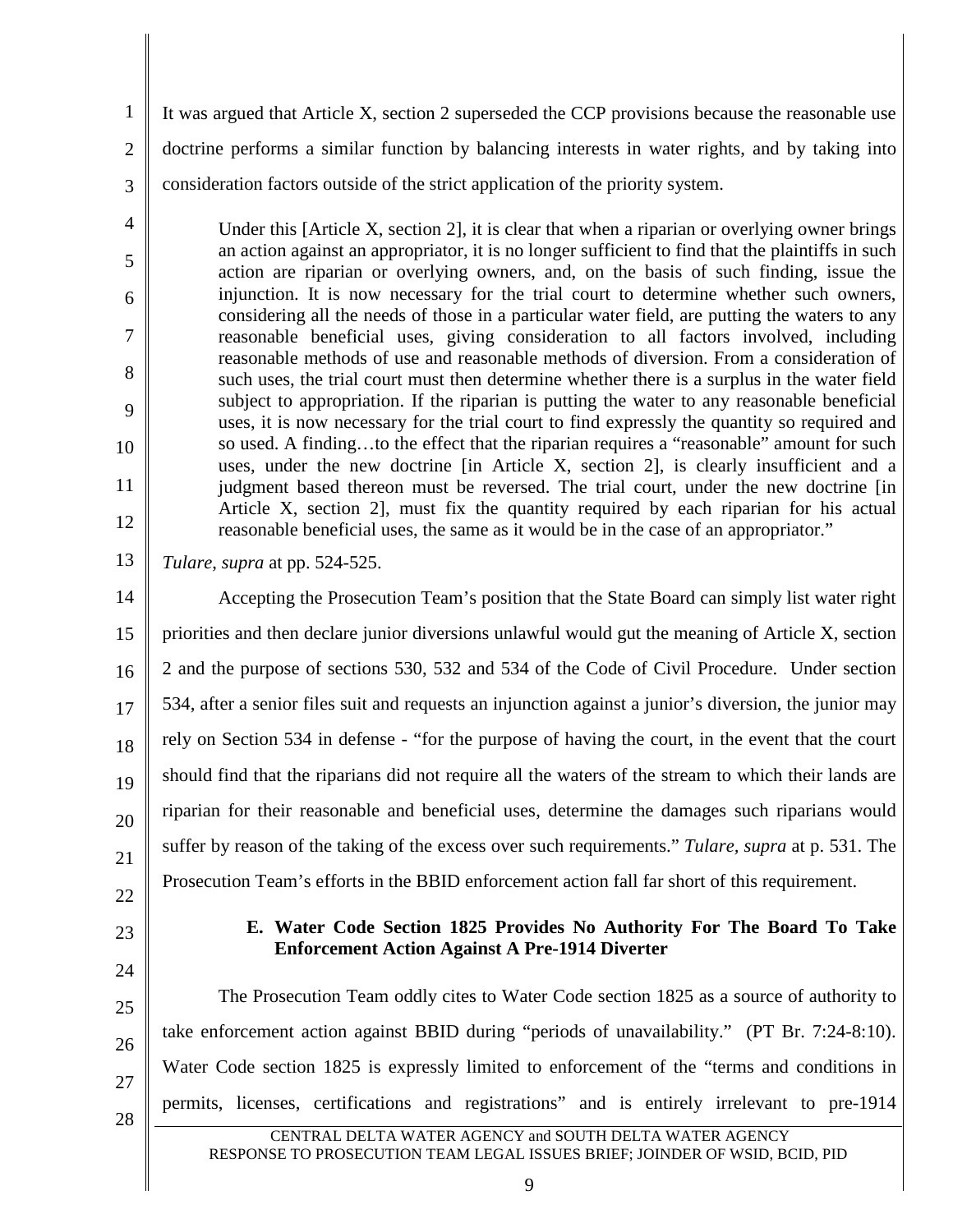1 2 3 It was argued that Article X, section 2 superseded the CCP provisions because the reasonable use doctrine performs a similar function by balancing interests in water rights, and by taking into consideration factors outside of the strict application of the priority system.

Under this [Article X, section 2], it is clear that when a riparian or overlying owner brings an action against an appropriator, it is no longer sufficient to find that the plaintiffs in such action are riparian or overlying owners, and, on the basis of such finding, issue the injunction. It is now necessary for the trial court to determine whether such owners, considering all the needs of those in a particular water field, are putting the waters to any reasonable beneficial uses, giving consideration to all factors involved, including reasonable methods of use and reasonable methods of diversion. From a consideration of such uses, the trial court must then determine whether there is a surplus in the water field subject to appropriation. If the riparian is putting the water to any reasonable beneficial uses, it is now necessary for the trial court to find expressly the quantity so required and so used. A finding…to the effect that the riparian requires a "reasonable" amount for such uses, under the new doctrine [in Article X, section 2], is clearly insufficient and a judgment based thereon must be reversed. The trial court, under the new doctrine [in Article X, section 2], must fix the quantity required by each riparian for his actual reasonable beneficial uses, the same as it would be in the case of an appropriator."

13 *Tulare*, *supra* at pp. 524-525.

14 15 16 17 18 19 20 21 Accepting the Prosecution Team's position that the State Board can simply list water right priorities and then declare junior diversions unlawful would gut the meaning of Article X, section 2 and the purpose of sections 530, 532 and 534 of the Code of Civil Procedure. Under section 534, after a senior files suit and requests an injunction against a junior's diversion, the junior may rely on Section 534 in defense - "for the purpose of having the court, in the event that the court should find that the riparians did not require all the waters of the stream to which their lands are riparian for their reasonable and beneficial uses, determine the damages such riparians would suffer by reason of the taking of the excess over such requirements." *Tulare, supra* at p. 531. The Prosecution Team's efforts in the BBID enforcement action fall far short of this requirement.

22

4

5

6

7

8

9

10

11

12

23

24

25

26

27

#### **E. Water Code Section 1825 Provides No Authority For The Board To Take Enforcement Action Against A Pre-1914 Diverter**

The Prosecution Team oddly cites to Water Code section 1825 as a source of authority to take enforcement action against BBID during "periods of unavailability." (PT Br. 7:24-8:10). Water Code section 1825 is expressly limited to enforcement of the "terms and conditions in permits, licenses, certifications and registrations" and is entirely irrelevant to pre-1914

28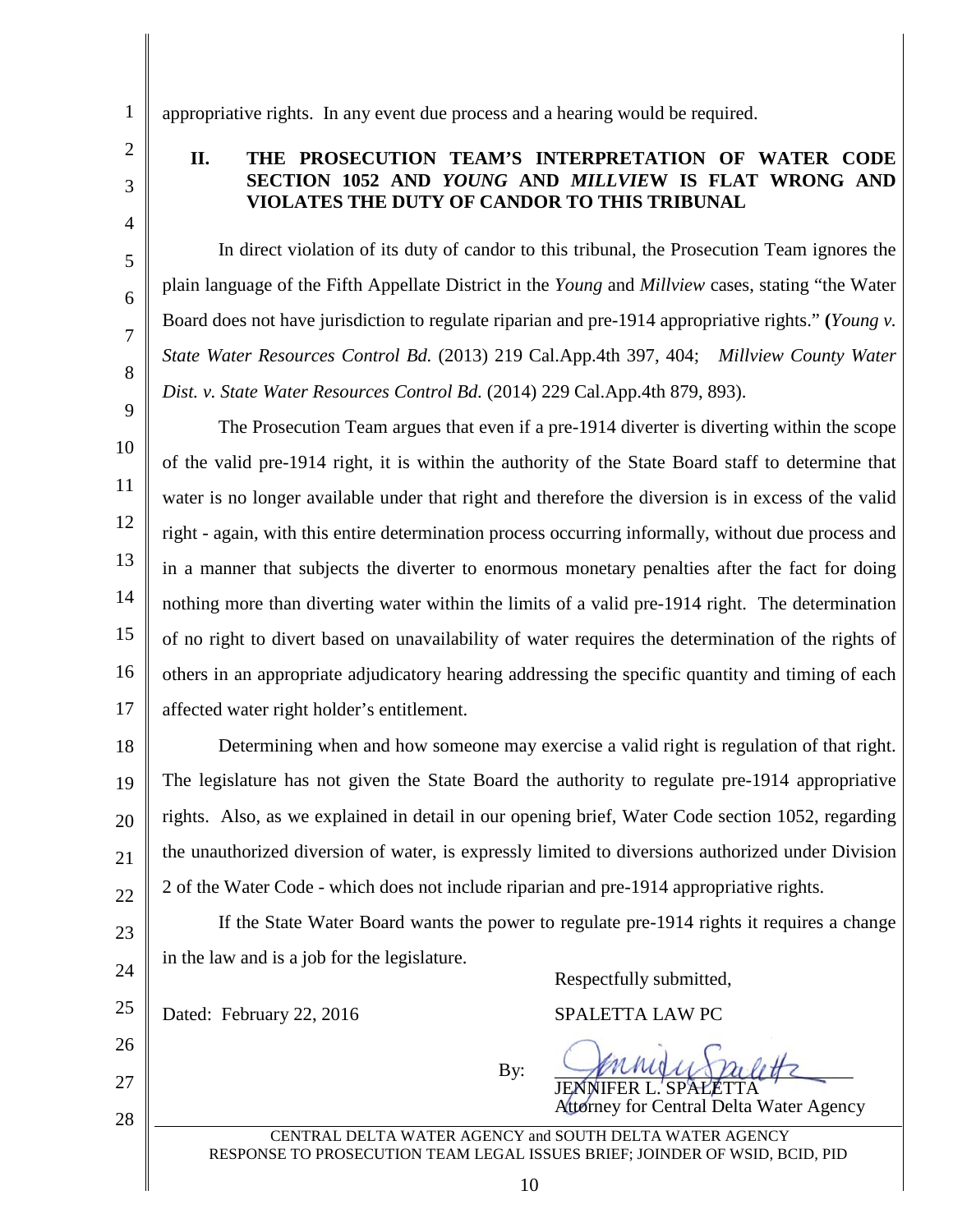1 2

3

4

5

6

7

8

## **II. THE PROSECUTION TEAM'S INTERPRETATION OF WATER CODE SECTION 1052 AND** *YOUNG* **AND** *MILLVIE***W IS FLAT WRONG AND VIOLATES THE DUTY OF CANDOR TO THIS TRIBUNAL**

appropriative rights. In any event due process and a hearing would be required.

In direct violation of its duty of candor to this tribunal, the Prosecution Team ignores the plain language of the Fifth Appellate District in the *Young* and *Millview* cases, stating "the Water Board does not have jurisdiction to regulate riparian and pre-1914 appropriative rights." **(***Young v. State Water Resources Control Bd.* (2013) 219 Cal.App.4th 397, 404; *Millview County Water Dist. v. State Water Resources Control Bd.* (2014) 229 Cal.App.4th 879, 893).

9 10 11 12 13 14 15 16 17 The Prosecution Team argues that even if a pre-1914 diverter is diverting within the scope of the valid pre-1914 right, it is within the authority of the State Board staff to determine that water is no longer available under that right and therefore the diversion is in excess of the valid right - again, with this entire determination process occurring informally, without due process and in a manner that subjects the diverter to enormous monetary penalties after the fact for doing nothing more than diverting water within the limits of a valid pre-1914 right. The determination of no right to divert based on unavailability of water requires the determination of the rights of others in an appropriate adjudicatory hearing addressing the specific quantity and timing of each affected water right holder's entitlement.

18 19 20 21 22 Determining when and how someone may exercise a valid right is regulation of that right. The legislature has not given the State Board the authority to regulate pre-1914 appropriative rights. Also, as we explained in detail in our opening brief, Water Code section 1052, regarding the unauthorized diversion of water, is expressly limited to diversions authorized under Division 2 of the Water Code - which does not include riparian and pre-1914 appropriative rights.

23 24 If the State Water Board wants the power to regulate pre-1914 rights it requires a change in the law and is a job for the legislature. Respectfully submitted,

25 Dated: February 22, 2016 SPALETTA LAW PC

26

27

28

By:  $\sqrt{\mu}$   $\mu$ JENNIFER L. SPALETTA

Attorney for Central Delta Water Agency